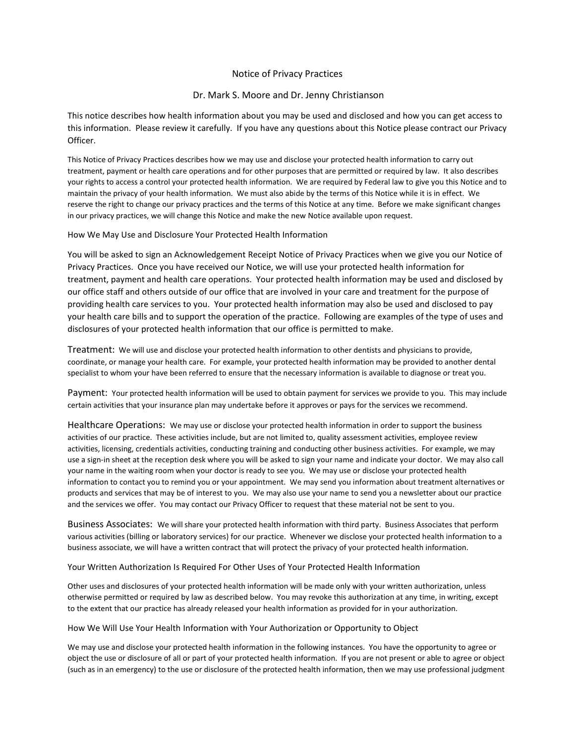# Notice of Privacy Practices

# Dr. Mark S. Moore and Dr. Jenny Christianson

This notice describes how health information about you may be used and disclosed and how you can get access to this information. Please review it carefully. If you have any questions about this Notice please contract our Privacy Officer.

This Notice of Privacy Practices describes how we may use and disclose your protected health information to carry out treatment, payment or health care operations and for other purposes that are permitted or required by law. It also describes your rights to access a control your protected health information. We are required by Federal law to give you this Notice and to maintain the privacy of your health information. We must also abide by the terms of this Notice while it is in effect. We reserve the right to change our privacy practices and the terms of this Notice at any time. Before we make significant changes in our privacy practices, we will change this Notice and make the new Notice available upon request.

How We May Use and Disclosure Your Protected Health Information

You will be asked to sign an Acknowledgement Receipt Notice of Privacy Practices when we give you our Notice of Privacy Practices. Once you have received our Notice, we will use your protected health information for treatment, payment and health care operations. Your protected health information may be used and disclosed by our office staff and others outside of our office that are involved in your care and treatment for the purpose of providing health care services to you. Your protected health information may also be used and disclosed to pay your health care bills and to support the operation of the practice. Following are examples of the type of uses and disclosures of your protected health information that our office is permitted to make.

Treatment: We will use and disclose your protected health information to other dentists and physicians to provide, coordinate, or manage your health care. For example, your protected health information may be provided to another dental specialist to whom your have been referred to ensure that the necessary information is available to diagnose or treat you.

Payment: Your protected health information will be used to obtain payment for services we provide to you. This may include certain activities that your insurance plan may undertake before it approves or pays for the services we recommend.

Healthcare Operations: We may use or disclose your protected health information in order to support the business activities of our practice. These activities include, but are not limited to, quality assessment activities, employee review activities, licensing, credentials activities, conducting training and conducting other business activities. For example, we may use a sign-in sheet at the reception desk where you will be asked to sign your name and indicate your doctor. We may also call your name in the waiting room when your doctor is ready to see you. We may use or disclose your protected health information to contact you to remind you or your appointment. We may send you information about treatment alternatives or products and services that may be of interest to you. We may also use your name to send you a newsletter about our practice and the services we offer. You may contact our Privacy Officer to request that these material not be sent to you.

Business Associates: We will share your protected health information with third party. Business Associates that perform various activities (billing or laboratory services) for our practice. Whenever we disclose your protected health information to a business associate, we will have a written contract that will protect the privacy of your protected health information.

Your Written Authorization Is Required For Other Uses of Your Protected Health Information

Other uses and disclosures of your protected health information will be made only with your written authorization, unless otherwise permitted or required by law as described below. You may revoke this authorization at any time, in writing, except to the extent that our practice has already released your health information as provided for in your authorization.

### How We Will Use Your Health Information with Your Authorization or Opportunity to Object

We may use and disclose your protected health information in the following instances. You have the opportunity to agree or object the use or disclosure of all or part of your protected health information. If you are not present or able to agree or object (such as in an emergency) to the use or disclosure of the protected health information, then we may use professional judgment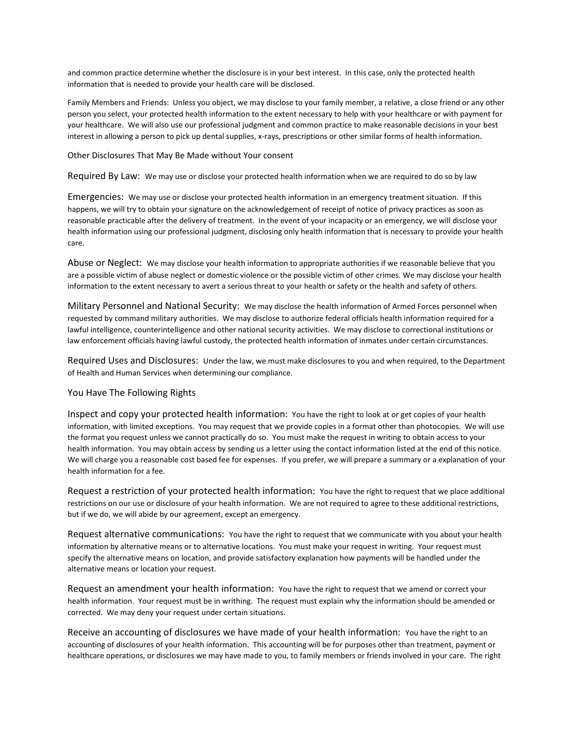and common practice determine whether the disclosure is in your best interest. In this case, only the protected health information that is needed to provide your health care will be disclosed.

Family Members and Friends: Unless you object, we may disclose to your family member, a relative, a close friend or any other person you select, your protected health information to the extent necessary to help with your healthcare or with payment for your healthcare. We will also use our professional judgment and common practice to make reasonable decisions in your best interest in allowing a person to pick up dental supplies, x-rays, prescriptions or other similar forms of health information.

#### Other Disclosures That May Be Made without Your consent

Required By Law: We may use or disclose your protected health information when we are required to do so by law

Emergencies: We may use or disclose your protected health information in an emergency treatment situation. If this happens, we will try to obtain your signature on the acknowledgement of receipt of notice of privacy practices as soon as reasonable practicable after the delivery of treatment. In the event of your incapacity or an emergency, we will disclose your health information using our professional judgment, disclosing only health information that is necessary to provide your health care.

Abuse or Neglect: We may disclose your health information to appropriate authorities if we reasonable believe that you are a possible victim of abuse neglect or domestic violence or the possible victim of other crimes. We may disclose your health information to the extent necessary to avert a serious threat to your health or safety or the health and safety of others.

Military Personnel and National Security: We may disclose the health information of Armed Forces personnel when requested by command military authorities. We may disclose to authorize federal officials health information required for a lawful intelligence, counterintelligence and other national security activities. We may disclose to correctional institutions or law enforcement officials having lawful custody, the protected health information of inmates under certain circumstances.

Required Uses and Disclosures: Under the law, we must make disclosures to you and when required, to the Department of Health and Human Services when determining our compliance.

### You Have The Following Rights

Inspect and copy your protected health information: You have the right to look at or get copies of your health information, with limited exceptions. You may request that we provide copies in a format other than photocopies. We will use the format you request unless we cannot practically do so. You must make the request in writing to obtain access to your health information. You may obtain access by sending us a letter using the contact information listed at the end of this notice. We will charge you a reasonable cost based fee for expenses. If you prefer, we will prepare a summary or a explanation of your health information for a fee.

Request a restriction of your protected health information: You have the right to request that we place additional restrictions on our use or disclosure of your health information. We are not required to agree to these additional restrictions, but if we do, we will abide by our agreement, except an emergency.

Request alternative communications: You have the right to request that we communicate with you about your health information by alternative means or to alternative locations. You must make your request in writing. Your request must specify the alternative means on location, and provide satisfactory explanation how payments will be handled under the alternative means or location your request.

Request an amendment your health information: You have the right to request that we amend or correct your health information. Your request must be in writhing. The request must explain why the information should be amended or corrected. We may deny your request under certain situations.

Receive an accounting of disclosures we have made of your health information: You have the right to an accounting of disclosures of your health information. This accounting will be for purposes other than treatment, payment or healthcare operations, or disclosures we may have made to you, to family members or friends involved in your care. The right